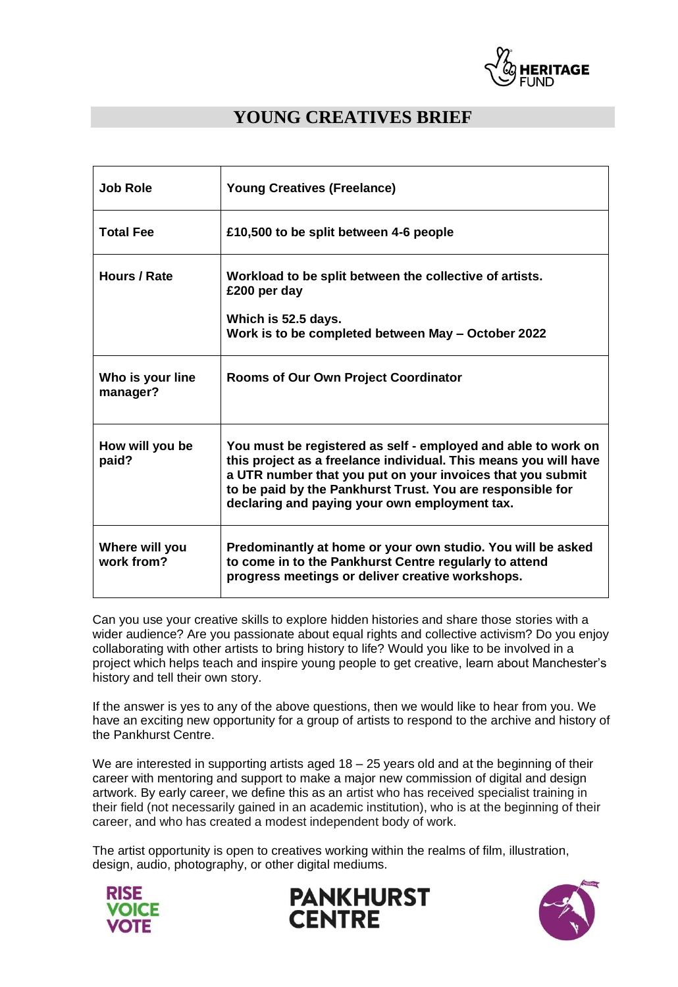

# **YOUNG CREATIVES BRIEF**

| <b>Job Role</b>              | <b>Young Creatives (Freelance)</b>                                                                                                                                                                                                                                                                             |
|------------------------------|----------------------------------------------------------------------------------------------------------------------------------------------------------------------------------------------------------------------------------------------------------------------------------------------------------------|
| <b>Total Fee</b>             | £10,500 to be split between 4-6 people                                                                                                                                                                                                                                                                         |
| Hours / Rate                 | Workload to be split between the collective of artists.<br>£200 per day                                                                                                                                                                                                                                        |
|                              | Which is 52.5 days.<br>Work is to be completed between May - October 2022                                                                                                                                                                                                                                      |
| Who is your line<br>manager? | Rooms of Our Own Project Coordinator                                                                                                                                                                                                                                                                           |
| How will you be<br>paid?     | You must be registered as self - employed and able to work on<br>this project as a freelance individual. This means you will have<br>a UTR number that you put on your invoices that you submit<br>to be paid by the Pankhurst Trust. You are responsible for<br>declaring and paying your own employment tax. |
| Where will you<br>work from? | Predominantly at home or your own studio. You will be asked<br>to come in to the Pankhurst Centre regularly to attend<br>progress meetings or deliver creative workshops.                                                                                                                                      |

Can you use your creative skills to explore hidden histories and share those stories with a wider audience? Are you passionate about equal rights and collective activism? Do you enjoy collaborating with other artists to bring history to life? Would you like to be involved in a project which helps teach and inspire young people to get creative, learn about Manchester's history and tell their own story.

If the answer is yes to any of the above questions, then we would like to hear from you. We have an exciting new opportunity for a group of artists to respond to the archive and history of the Pankhurst Centre.

We are interested in supporting artists aged 18 - 25 years old and at the beginning of their career with mentoring and support to make a major new commission of digital and design artwork. By early career, we define this as an artist who has received specialist training in their field (not necessarily gained in an academic institution), who is at the beginning of their career, and who has created a modest independent body of work.

The artist opportunity is open to creatives working within the realms of film, illustration, design, audio, photography, or other digital mediums.





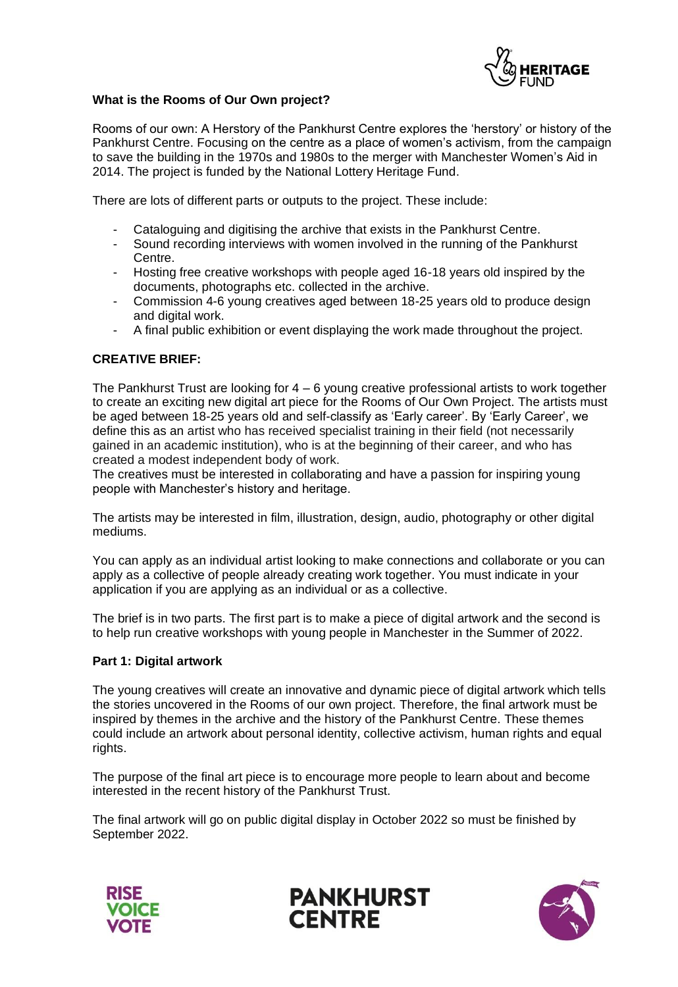

## **What is the Rooms of Our Own project?**

Rooms of our own: A Herstory of the Pankhurst Centre explores the 'herstory' or history of the Pankhurst Centre. Focusing on the centre as a place of women's activism, from the campaign to save the building in the 1970s and 1980s to the merger with Manchester Women's Aid in 2014. The project is funded by the National Lottery Heritage Fund.

There are lots of different parts or outputs to the project. These include:

- Cataloguing and digitising the archive that exists in the Pankhurst Centre.
- Sound recording interviews with women involved in the running of the Pankhurst Centre.
- Hosting free creative workshops with people aged 16-18 years old inspired by the documents, photographs etc. collected in the archive.
- Commission 4-6 young creatives aged between 18-25 years old to produce design and digital work.
- A final public exhibition or event displaying the work made throughout the project.

## **CREATIVE BRIEF:**

The Pankhurst Trust are looking for  $4 - 6$  young creative professional artists to work together to create an exciting new digital art piece for the Rooms of Our Own Project. The artists must be aged between 18-25 years old and self-classify as 'Early career'. By 'Early Career', we define this as an artist who has received specialist training in their field (not necessarily gained in an academic institution), who is at the beginning of their career, and who has created a modest independent body of work.

The creatives must be interested in collaborating and have a passion for inspiring young people with Manchester's history and heritage.

The artists may be interested in film, illustration, design, audio, photography or other digital mediums.

You can apply as an individual artist looking to make connections and collaborate or you can apply as a collective of people already creating work together. You must indicate in your application if you are applying as an individual or as a collective.

The brief is in two parts. The first part is to make a piece of digital artwork and the second is to help run creative workshops with young people in Manchester in the Summer of 2022.

### **Part 1: Digital artwork**

The young creatives will create an innovative and dynamic piece of digital artwork which tells the stories uncovered in the Rooms of our own project. Therefore, the final artwork must be inspired by themes in the archive and the history of the Pankhurst Centre. These themes could include an artwork about personal identity, collective activism, human rights and equal rights.

The purpose of the final art piece is to encourage more people to learn about and become interested in the recent history of the Pankhurst Trust.

The final artwork will go on public digital display in October 2022 so must be finished by September 2022.





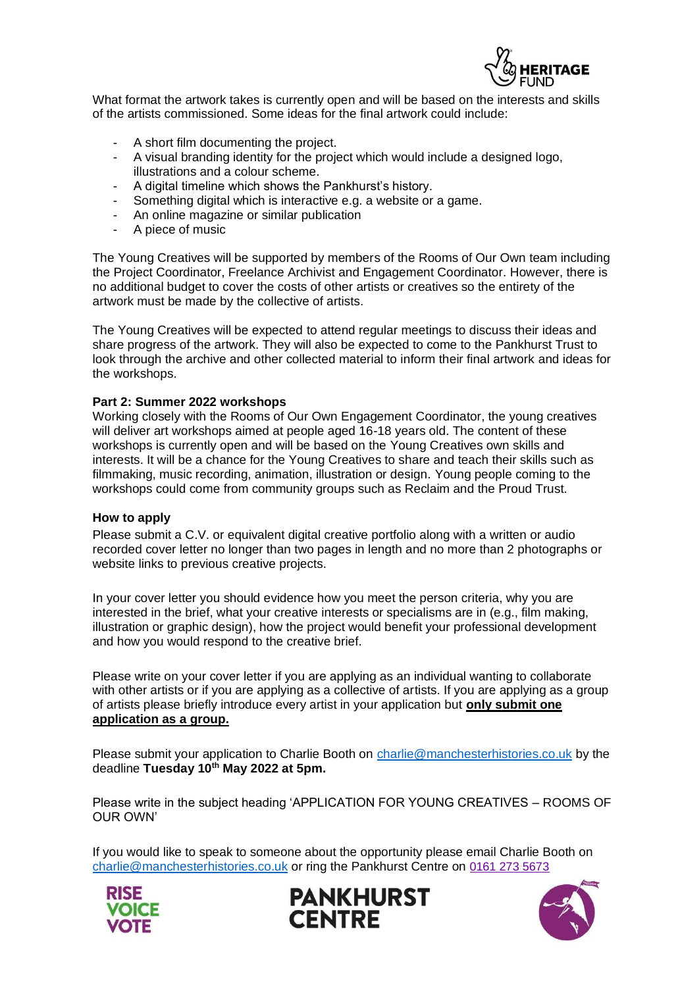

What format the artwork takes is currently open and will be based on the interests and skills of the artists commissioned. Some ideas for the final artwork could include:

- A short film documenting the project.
- A visual branding identity for the project which would include a designed logo, illustrations and a colour scheme.
- A digital timeline which shows the Pankhurst's history.
- Something digital which is interactive e.g. a website or a game.
- An online magazine or similar publication
- A piece of music

The Young Creatives will be supported by members of the Rooms of Our Own team including the Project Coordinator, Freelance Archivist and Engagement Coordinator. However, there is no additional budget to cover the costs of other artists or creatives so the entirety of the artwork must be made by the collective of artists.

The Young Creatives will be expected to attend regular meetings to discuss their ideas and share progress of the artwork. They will also be expected to come to the Pankhurst Trust to look through the archive and other collected material to inform their final artwork and ideas for the workshops.

#### **Part 2: Summer 2022 workshops**

Working closely with the Rooms of Our Own Engagement Coordinator, the young creatives will deliver art workshops aimed at people aged 16-18 years old. The content of these workshops is currently open and will be based on the Young Creatives own skills and interests. It will be a chance for the Young Creatives to share and teach their skills such as filmmaking, music recording, animation, illustration or design. Young people coming to the workshops could come from community groups such as Reclaim and the Proud Trust.

#### **How to apply**

Please submit a C.V. or equivalent digital creative portfolio along with a written or audio recorded cover letter no longer than two pages in length and no more than 2 photographs or website links to previous creative projects.

In your cover letter you should evidence how you meet the person criteria, why you are interested in the brief, what your creative interests or specialisms are in (e.g., film making, illustration or graphic design), how the project would benefit your professional development and how you would respond to the creative brief.

Please write on your cover letter if you are applying as an individual wanting to collaborate with other artists or if you are applying as a collective of artists. If you are applying as a group of artists please briefly introduce every artist in your application but **only submit one application as a group.**

Please submit your application to Charlie Booth on [charlie@manchesterhistories.co.uk](mailto:charlie@manchesterhistories.co.uk) by the deadline **Tuesday 10th May 2022 at 5pm.**

Please write in the subject heading 'APPLICATION FOR YOUNG CREATIVES – ROOMS OF OUR OWN'

If you would like to speak to someone about the opportunity please email Charlie Booth on [charlie@manchesterhistories.co.uk](mailto:charlie@manchesterhistories.co.uk) or ring the Pankhurst Centre on [0161 273 5673](https://www.google.com/search?client=safari&rls=en&q=pankhurst+centre&ie=UTF-8&oe=UTF-8)





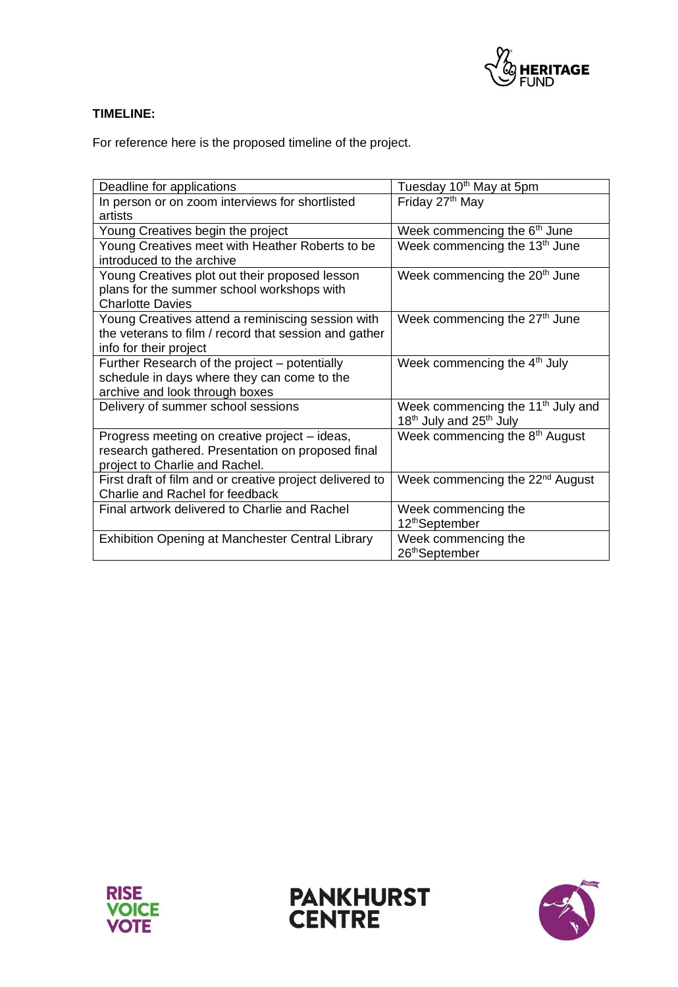

## **TIMELINE:**

For reference here is the proposed timeline of the project.

| Deadline for applications                                                                                                            | Tuesday 10 <sup>th</sup> May at 5pm                                                              |  |
|--------------------------------------------------------------------------------------------------------------------------------------|--------------------------------------------------------------------------------------------------|--|
| In person or on zoom interviews for shortlisted<br>artists                                                                           | Friday 27 <sup>th</sup> May                                                                      |  |
| Young Creatives begin the project                                                                                                    | Week commencing the 6 <sup>th</sup> June                                                         |  |
| Young Creatives meet with Heather Roberts to be<br>introduced to the archive                                                         | Week commencing the 13 <sup>th</sup> June                                                        |  |
| Young Creatives plot out their proposed lesson<br>plans for the summer school workshops with<br><b>Charlotte Davies</b>              | Week commencing the 20 <sup>th</sup> June                                                        |  |
| Young Creatives attend a reminiscing session with<br>the veterans to film / record that session and gather<br>info for their project | Week commencing the 27 <sup>th</sup> June                                                        |  |
| Further Research of the project – potentially<br>schedule in days where they can come to the<br>archive and look through boxes       | Week commencing the 4 <sup>th</sup> July                                                         |  |
| Delivery of summer school sessions                                                                                                   | Week commencing the 11 <sup>th</sup> July and<br>18 <sup>th</sup> July and 25 <sup>th</sup> July |  |
| Progress meeting on creative project – ideas,<br>research gathered. Presentation on proposed final<br>project to Charlie and Rachel. | Week commencing the 8 <sup>th</sup> August                                                       |  |
| First draft of film and or creative project delivered to<br>Charlie and Rachel for feedback                                          | Week commencing the 22 <sup>nd</sup> August                                                      |  |
| Final artwork delivered to Charlie and Rachel                                                                                        | Week commencing the<br>12 <sup>th</sup> September                                                |  |
| <b>Exhibition Opening at Manchester Central Library</b>                                                                              | Week commencing the<br>26 <sup>th</sup> September                                                |  |





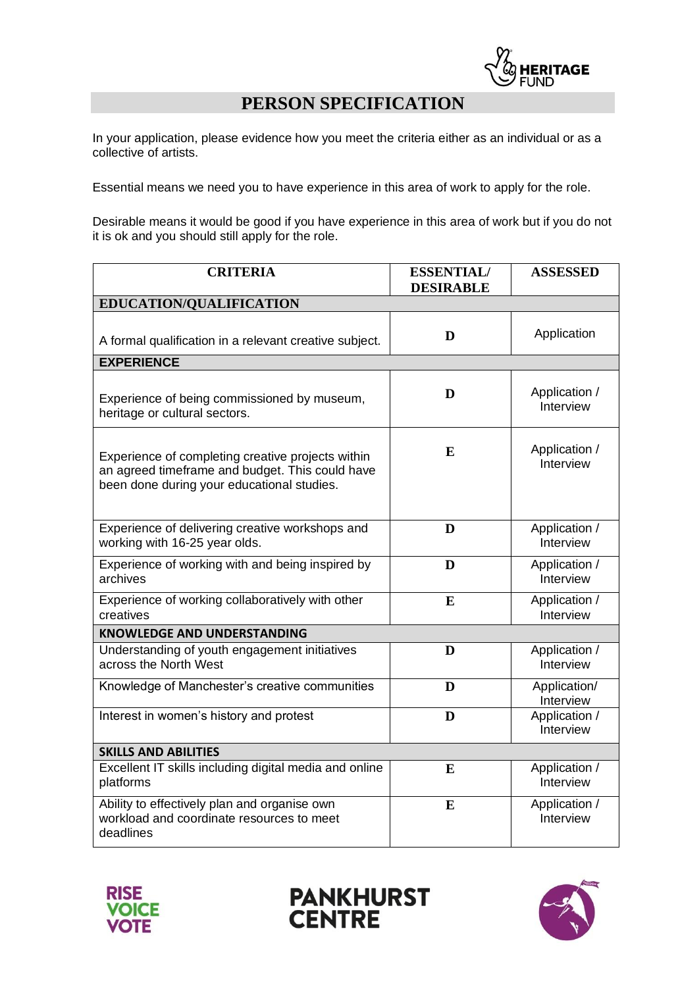

# **PERSON SPECIFICATION**

In your application, please evidence how you meet the criteria either as an individual or as a collective of artists.

Essential means we need you to have experience in this area of work to apply for the role.

Desirable means it would be good if you have experience in this area of work but if you do not it is ok and you should still apply for the role.

| <b>CRITERIA</b>                                                                                                                                    | <b>ESSENTIAL/</b><br><b>DESIRABLE</b> | <b>ASSESSED</b>            |  |  |
|----------------------------------------------------------------------------------------------------------------------------------------------------|---------------------------------------|----------------------------|--|--|
| EDUCATION/QUALIFICATION                                                                                                                            |                                       |                            |  |  |
| A formal qualification in a relevant creative subject.                                                                                             | D                                     | Application                |  |  |
| <b>EXPERIENCE</b>                                                                                                                                  |                                       |                            |  |  |
| Experience of being commissioned by museum,<br>heritage or cultural sectors.                                                                       | D                                     | Application /<br>Interview |  |  |
| Experience of completing creative projects within<br>an agreed timeframe and budget. This could have<br>been done during your educational studies. | E                                     | Application /<br>Interview |  |  |
| Experience of delivering creative workshops and<br>working with 16-25 year olds.                                                                   | D                                     | Application /<br>Interview |  |  |
| Experience of working with and being inspired by<br>archives                                                                                       | D                                     | Application /<br>Interview |  |  |
| Experience of working collaboratively with other<br>creatives                                                                                      | E                                     | Application /<br>Interview |  |  |
| <b>KNOWLEDGE AND UNDERSTANDING</b>                                                                                                                 |                                       |                            |  |  |
| Understanding of youth engagement initiatives<br>across the North West                                                                             | D                                     | Application /<br>Interview |  |  |
| Knowledge of Manchester's creative communities                                                                                                     | D                                     | Application/<br>Interview  |  |  |
| Interest in women's history and protest                                                                                                            | D                                     | Application /<br>Interview |  |  |
| <b>SKILLS AND ABILITIES</b>                                                                                                                        |                                       |                            |  |  |
| Excellent IT skills including digital media and online<br>platforms                                                                                | E                                     | Application /<br>Interview |  |  |
| Ability to effectively plan and organise own<br>workload and coordinate resources to meet<br>deadlines                                             | E                                     | Application /<br>Interview |  |  |